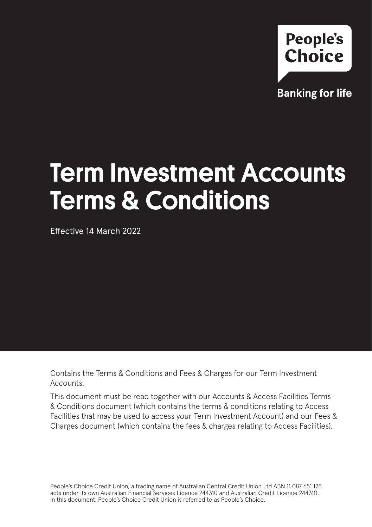

**Banking for life** 

# Term Investment Accounts Terms & Conditions

Effective 14 March 2022

Contains the Terms & Conditions and Fees & Charges for our Term Investment Accounts.

This document must be read together with our Accounts & Access Facilities Terms & Conditions document (which contains the terms & conditions relating to Access Facilities that may be used to access your Term Investment Account) and our Fees & Charges document (which contains the fees & charges relating to Access Facilities).

People's Choice Credit Union, a trading name of Australian Central Credit Union Ltd ABN 11 087 651 125, acts under its own Australian Financial Services Licence 244310 and Australian Credit Licence 244310. In this document, People's Choice Credit Union is referred to as People's Choice.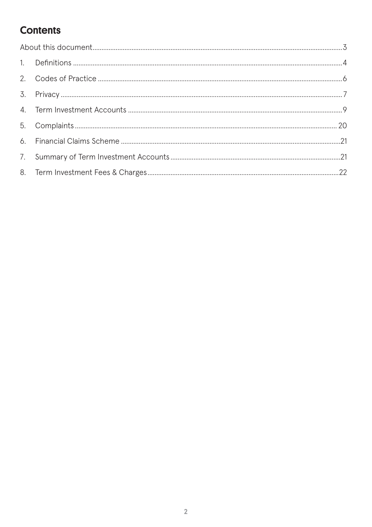## **Contents**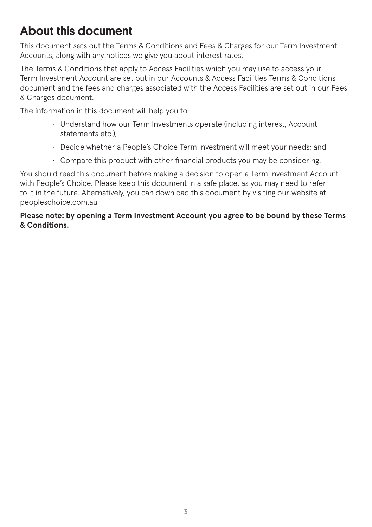# About this document

This document sets out the Terms & Conditions and Fees & Charges for our Term Investment Accounts, along with any notices we give you about interest rates.

The Terms & Conditions that apply to Access Facilities which you may use to access your Term Investment Account are set out in our Accounts & Access Facilities Terms & Conditions document and the fees and charges associated with the Access Facilities are set out in our Fees & Charges document.

The information in this document will help you to:

- Understand how our Term Investments operate (including interest, Account statements etc.);
- Decide whether a People's Choice Term Investment will meet your needs; and
- Compare this product with other financial products you may be considering.

You should read this document before making a decision to open a Term Investment Account with People's Choice. Please keep this document in a safe place, as you may need to refer to it in the future. Alternatively, you can download this document by visiting our website at peopleschoice.com.au

**Please note: by opening a Term Investment Account you agree to be bound by these Terms & Conditions.**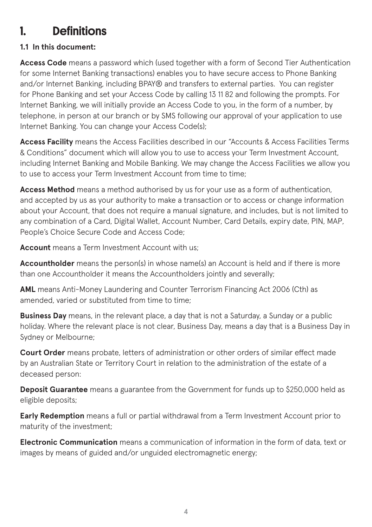# 1. Definitions

### **1.1 In this document:**

**Access Code** means a password which (used together with a form of Second Tier Authentication for some Internet Banking transactions) enables you to have secure access to Phone Banking and/or Internet Banking, including BPAY® and transfers to external parties. You can register for Phone Banking and set your Access Code by calling 13 11 82 and following the prompts. For Internet Banking, we will initially provide an Access Code to you, in the form of a number, by telephone, in person at our branch or by SMS following our approval of your application to use Internet Banking. You can change your Access Code(s);

**Access Facility** means the Access Facilities described in our "Accounts & Access Facilities Terms & Conditions" document which will allow you to use to access your Term Investment Account, including Internet Banking and Mobile Banking. We may change the Access Facilities we allow you to use to access your Term Investment Account from time to time;

**Access Method** means a method authorised by us for your use as a form of authentication, and accepted by us as your authority to make a transaction or to access or change information about your Account, that does not require a manual signature, and includes, but is not limited to any combination of a Card, Digital Wallet, Account Number, Card Details, expiry date, PIN, MAP, People's Choice Secure Code and Access Code;

**Account** means a Term Investment Account with us;

Accountholder means the person(s) in whose name(s) an Account is held and if there is more than one Accountholder it means the Accountholders jointly and severally;

**AML** means Anti-Money Laundering and Counter Terrorism Financing Act 2006 (Cth) as amended, varied or substituted from time to time;

**Business Day** means, in the relevant place, a day that is not a Saturday, a Sunday or a public holiday. Where the relevant place is not clear, Business Day, means a day that is a Business Day in Sydney or Melbourne;

**Court Order** means probate, letters of administration or other orders of similar effect made by an Australian State or Territory Court in relation to the administration of the estate of a deceased person:

**Deposit Guarantee** means a guarantee from the Government for funds up to \$250,000 held as eligible deposits;

**Early Redemption** means a full or partial withdrawal from a Term Investment Account prior to maturity of the investment;

**Electronic Communication** means a communication of information in the form of data, text or images by means of guided and/or unguided electromagnetic energy;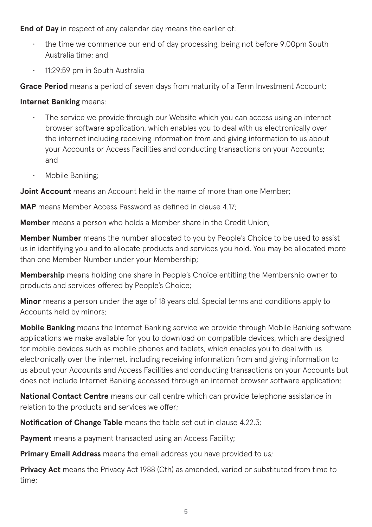**End of Day** in respect of any calendar day means the earlier of:

- the time we commence our end of day processing, being not before 9.00pm South Australia time; and
- 11:29:59 pm in South Australia

**Grace Period** means a period of seven days from maturity of a Term Investment Account;

**Internet Banking** means:

- The service we provide through our Website which you can access using an internet browser software application, which enables you to deal with us electronically over the internet including receiving information from and giving information to us about your Accounts or Access Facilities and conducting transactions on your Accounts; and
- Mobile Banking;

**Joint Account** means an Account held in the name of more than one Member;

**MAP** means Member Access Password as defined in clause 4.17;

**Member** means a person who holds a Member share in the Credit Union;

**Member Number** means the number allocated to you by People's Choice to be used to assist us in identifying you and to allocate products and services you hold. You may be allocated more than one Member Number under your Membership;

**Membership** means holding one share in People's Choice entitling the Membership owner to products and services offered by People's Choice;

**Minor** means a person under the age of 18 years old. Special terms and conditions apply to Accounts held by minors;

**Mobile Banking** means the Internet Banking service we provide through Mobile Banking software applications we make available for you to download on compatible devices, which are designed for mobile devices such as mobile phones and tablets, which enables you to deal with us electronically over the internet, including receiving information from and giving information to us about your Accounts and Access Facilities and conducting transactions on your Accounts but does not include Internet Banking accessed through an internet browser software application;

**National Contact Centre** means our call centre which can provide telephone assistance in relation to the products and services we offer;

**Notification of Change Table** means the table set out in clause 4.22.3;

**Payment** means a payment transacted using an Access Facility:

**Primary Email Address** means the email address you have provided to us;

**Privacy Act** means the Privacy Act 1988 (Cth) as amended, varied or substituted from time to time;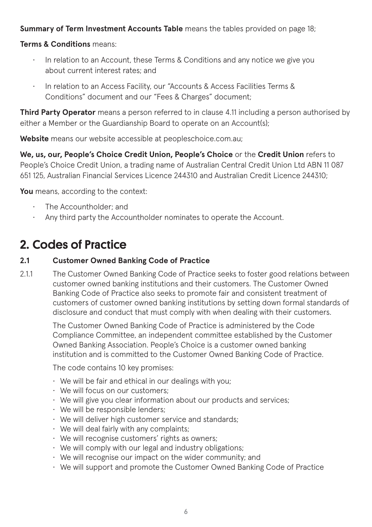#### **Summary of Term Investment Accounts Table** means the tables provided on page 18;

#### **Terms & Conditions** means:

- In relation to an Account, these Terms & Conditions and any notice we give you about current interest rates; and
- In relation to an Access Facility, our "Accounts & Access Facilities Terms & Conditions" document and our "Fees & Charges" document;

**Third Party Operator** means a person referred to in clause 4.11 including a person authorised by either a Member or the Guardianship Board to operate on an Account(s);

**Website** means our website accessible at peopleschoice.com.au;

**We, us, our, People's Choice Credit Union, People's Choice** or the **Credit Union** refers to People's Choice Credit Union, a trading name of Australian Central Credit Union Ltd ABN 11 087 651 125, Australian Financial Services Licence 244310 and Australian Credit Licence 244310;

You means, according to the context:

- The Accountholder; and
- Any third party the Accountholder nominates to operate the Account.

# 2. Codes of Practice

#### **2.1 Customer Owned Banking Code of Practice**

2.1.1 The Customer Owned Banking Code of Practice seeks to foster good relations between customer owned banking institutions and their customers. The Customer Owned Banking Code of Practice also seeks to promote fair and consistent treatment of customers of customer owned banking institutions by setting down formal standards of disclosure and conduct that must comply with when dealing with their customers.

The Customer Owned Banking Code of Practice is administered by the Code Compliance Committee, an independent committee established by the Customer Owned Banking Association. People's Choice is a customer owned banking institution and is committed to the Customer Owned Banking Code of Practice.

The code contains 10 key promises:

- We will be fair and ethical in our dealings with you;
- We will focus on our customers;
- We will give you clear information about our products and services;
- We will be responsible lenders;
- We will deliver high customer service and standards;
- We will deal fairly with any complaints;
- We will recognise customers' rights as owners;
- We will comply with our legal and industry obligations;
- We will recognise our impact on the wider community; and
- We will support and promote the Customer Owned Banking Code of Practice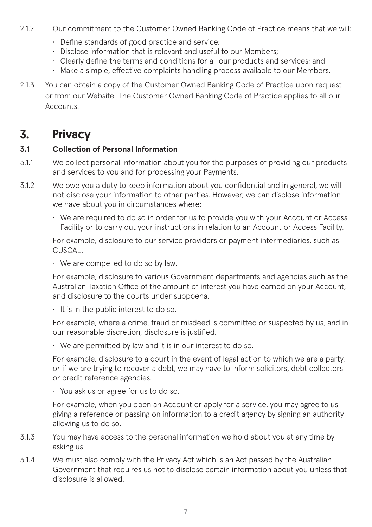- 2.1.2 Our commitment to the Customer Owned Banking Code of Practice means that we will:
	- Define standards of good practice and service;
	- Disclose information that is relevant and useful to our Members;
	- Clearly define the terms and conditions for all our products and services; and
	- Make a simple, effective complaints handling process available to our Members.
- 2.1.3 You can obtain a copy of the Customer Owned Banking Code of Practice upon request or from our Website. The Customer Owned Banking Code of Practice applies to all our **Accounts**

# 3. Privacy

#### **3.1 Collection of Personal Information**

- 3.1.1 We collect personal information about you for the purposes of providing our products and services to you and for processing your Payments.
- 3.1.2 We owe you a duty to keep information about you confidential and in general, we will not disclose your information to other parties. However, we can disclose information we have about you in circumstances where:
	- We are required to do so in order for us to provide you with your Account or Access Facility or to carry out your instructions in relation to an Account or Access Facility.

For example, disclosure to our service providers or payment intermediaries, such as CLISCAL.

• We are compelled to do so by law.

For example, disclosure to various Government departments and agencies such as the Australian Taxation Office of the amount of interest you have earned on your Account, and disclosure to the courts under subpoena.

• It is in the public interest to do so.

For example, where a crime, fraud or misdeed is committed or suspected by us, and in our reasonable discretion, disclosure is justified.

 $\cdot$  We are permitted by law and it is in our interest to do so.

For example, disclosure to a court in the event of legal action to which we are a party, or if we are trying to recover a debt, we may have to inform solicitors, debt collectors or credit reference agencies.

• You ask us or agree for us to do so.

For example, when you open an Account or apply for a service, you may agree to us giving a reference or passing on information to a credit agency by signing an authority allowing us to do so.

- 3.1.3 You may have access to the personal information we hold about you at any time by asking us.
- 3.1.4 We must also comply with the Privacy Act which is an Act passed by the Australian Government that requires us not to disclose certain information about you unless that disclosure is allowed.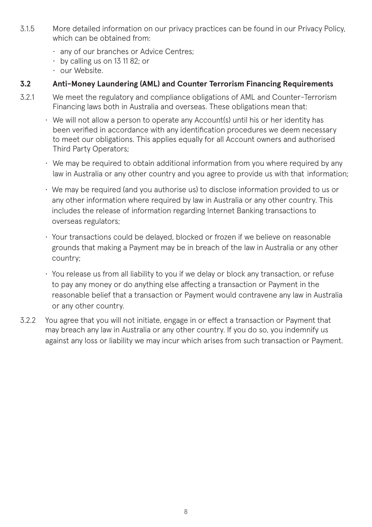- 3.1.5 More detailed information on our privacy practices can be found in our Privacy Policy, which can be obtained from:
	- any of our branches or Advice Centres;
	- by calling us on 13 11 82; or
	- our Website.

#### **3.2 Anti-Money Laundering (AML) and Counter Terrorism Financing Requirements**

- 3.2.1 We meet the regulatory and compliance obligations of AML and Counter-Terrorism Financing laws both in Australia and overseas. These obligations mean that:
	- We will not allow a person to operate any Account(s) until his or her identity has been verified in accordance with any identification procedures we deem necessary to meet our obligations. This applies equally for all Account owners and authorised Third Party Operators;
	- We may be required to obtain additional information from you where required by any law in Australia or any other country and you agree to provide us with that information;
	- We may be required (and you authorise us) to disclose information provided to us or any other information where required by law in Australia or any other country. This includes the release of information regarding Internet Banking transactions to overseas regulators;
	- Your transactions could be delayed, blocked or frozen if we believe on reasonable grounds that making a Payment may be in breach of the law in Australia or any other country;
	- You release us from all liability to you if we delay or block any transaction, or refuse to pay any money or do anything else affecting a transaction or Payment in the reasonable belief that a transaction or Payment would contravene any law in Australia or any other country.
- 3.2.2 You agree that you will not initiate, engage in or effect a transaction or Payment that may breach any law in Australia or any other country. If you do so, you indemnify us against any loss or liability we may incur which arises from such transaction or Payment.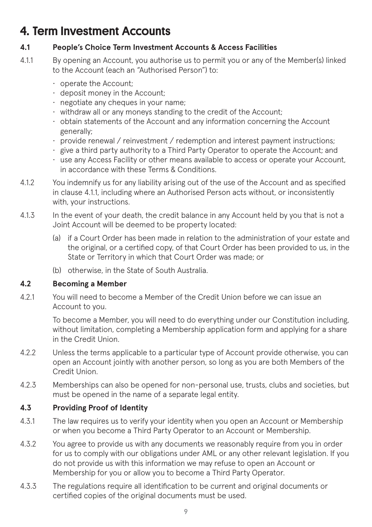# 4. Term Investment Accounts

#### **4.1 People's Choice Term Investment Accounts & Access Facilities**

- 4.1.1 By opening an Account, you authorise us to permit you or any of the Member(s) linked to the Account (each an "Authorised Person") to:
	- operate the Account;
	- deposit money in the Account;
	- negotiate any cheques in your name;
	- withdraw all or any moneys standing to the credit of the Account;
	- obtain statements of the Account and any information concerning the Account generally;
	- provide renewal / reinvestment / redemption and interest payment instructions;
	- give a third party authority to a Third Party Operator to operate the Account; and
	- use any Access Facility or other means available to access or operate your Account, in accordance with these Terms & Conditions.
- 4.1.2 You indemnify us for any liability arising out of the use of the Account and as specified in clause 4.1.1, including where an Authorised Person acts without, or inconsistently with, your instructions.
- 4.1.3 In the event of your death, the credit balance in any Account held by you that is not a Joint Account will be deemed to be property located:
	- (a) if a Court Order has been made in relation to the administration of your estate and the original, or a certified copy, of that Court Order has been provided to us, in the State or Territory in which that Court Order was made; or
	- (b) otherwise, in the State of South Australia.

### **4.2 Becoming a Member**

4.2.1 You will need to become a Member of the Credit Union before we can issue an Account to you.

> To become a Member, you will need to do everything under our Constitution including, without limitation, completing a Membership application form and applying for a share in the Credit Union.

- 4.2.2 Unless the terms applicable to a particular type of Account provide otherwise, you can open an Account jointly with another person, so long as you are both Members of the Credit Union.
- 4.2.3 Memberships can also be opened for non-personal use, trusts, clubs and societies, but must be opened in the name of a separate legal entity.

### **4.3 Providing Proof of Identity**

- 4.3.1 The law requires us to verify your identity when you open an Account or Membership or when you become a Third Party Operator to an Account or Membership.
- 4.3.2 You agree to provide us with any documents we reasonably require from you in order for us to comply with our obligations under AML or any other relevant legislation. If you do not provide us with this information we may refuse to open an Account or Membership for you or allow you to become a Third Party Operator.
- 4.3.3 The regulations require all identification to be current and original documents or certified copies of the original documents must be used.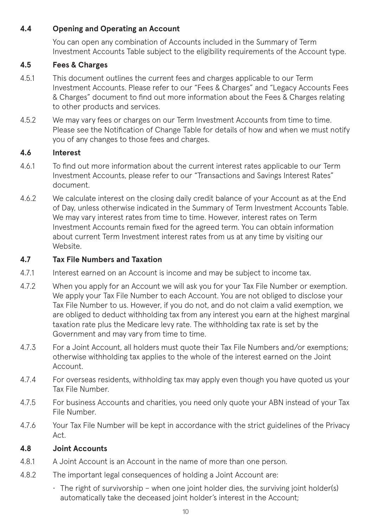#### **4.4 Opening and Operating an Account**

You can open any combination of Accounts included in the Summary of Term Investment Accounts Table subject to the eligibility requirements of the Account type.

#### **4.5 Fees & Charges**

- 4.5.1 This document outlines the current fees and charges applicable to our Term Investment Accounts. Please refer to our "Fees & Charges" and "Legacy Accounts Fees & Charges" document to find out more information about the Fees & Charges relating to other products and services.
- 4.5.2 We may vary fees or charges on our Term Investment Accounts from time to time. Please see the Notification of Change Table for details of how and when we must notify you of any changes to those fees and charges.

#### **4.6 Interest**

- 4.6.1 To find out more information about the current interest rates applicable to our Term Investment Accounts, please refer to our "Transactions and Savings Interest Rates" document.
- 4.6.2 We calculate interest on the closing daily credit balance of your Account as at the End of Day, unless otherwise indicated in the Summary of Term Investment Accounts Table. We may vary interest rates from time to time. However, interest rates on Term Investment Accounts remain fixed for the agreed term. You can obtain information about current Term Investment interest rates from us at any time by visiting our Website.

#### **4.7 Tax File Numbers and Taxation**

- 4.7.1 Interest earned on an Account is income and may be subject to income tax.
- 4.7.2 When you apply for an Account we will ask you for your Tax File Number or exemption. We apply your Tax File Number to each Account. You are not obliged to disclose your Tax File Number to us. However, if you do not, and do not claim a valid exemption, we are obliged to deduct withholding tax from any interest you earn at the highest marginal taxation rate plus the Medicare levy rate. The withholding tax rate is set by the Government and may vary from time to time.
- 4.7.3 For a Joint Account, all holders must quote their Tax File Numbers and/or exemptions; otherwise withholding tax applies to the whole of the interest earned on the Joint Account.
- 4.7.4 For overseas residents, withholding tax may apply even though you have quoted us your Tax File Number.
- 4.7.5 For business Accounts and charities, you need only quote your ABN instead of your Tax File Number.
- 4.7.6 Your Tax File Number will be kept in accordance with the strict guidelines of the Privacy Act.

#### **4.8 Joint Accounts**

- 4.8.1 A Joint Account is an Account in the name of more than one person.
- 4.8.2 The important legal consequences of holding a Joint Account are:
	- $\cdot$  The right of survivorship when one joint holder dies, the surviving joint holder(s) automatically take the deceased joint holder's interest in the Account;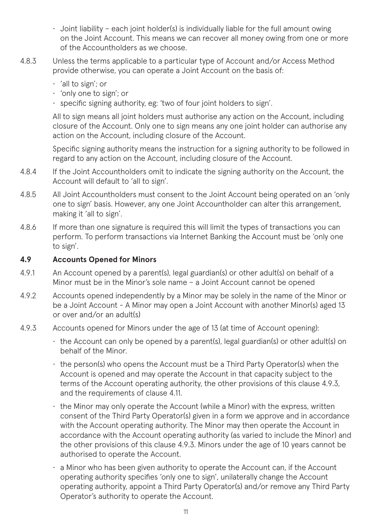- $\cdot$  Joint liability each joint holder(s) is individually liable for the full amount owing on the Joint Account. This means we can recover all money owing from one or more of the Accountholders as we choose.
- 4.8.3 Unless the terms applicable to a particular type of Account and/or Access Method provide otherwise, you can operate a Joint Account on the basis of:
	- 'all to sign'; or
	- 'only one to sign'; or
	- specific signing authority, eg: 'two of four joint holders to sign'.

All to sign means all joint holders must authorise any action on the Account, including closure of the Account. Only one to sign means any one joint holder can authorise any action on the Account, including closure of the Account.

Specific signing authority means the instruction for a signing authority to be followed in regard to any action on the Account, including closure of the Account.

- 4.8.4 If the Joint Accountholders omit to indicate the signing authority on the Account, the Account will default to 'all to sign'.
- 4.8.5 All Joint Accountholders must consent to the Joint Account being operated on an 'only one to sign' basis. However, any one Joint Accountholder can alter this arrangement, making it 'all to sign'.
- 4.8.6 If more than one signature is required this will limit the types of transactions you can perform. To perform transactions via Internet Banking the Account must be 'only one to sign'.

#### **4.9 Accounts Opened for Minors**

- 4.9.1 An Account opened by a parent(s), legal guardian(s) or other adult(s) on behalf of a Minor must be in the Minor's sole name – a Joint Account cannot be opened
- 4.9.2 Accounts opened independently by a Minor may be solely in the name of the Minor or be a Joint Account - A Minor may open a Joint Account with another Minor(s) aged 13 or over and/or an adult(s)
- 4.9.3 Accounts opened for Minors under the age of 13 (at time of Account opening):
	- the Account can only be opened by a parent(s), legal guardian(s) or other adult(s) on behalf of the Minor.
	- the person(s) who opens the Account must be a Third Party Operator(s) when the Account is opened and may operate the Account in that capacity subject to the terms of the Account operating authority, the other provisions of this clause 4.9.3, and the requirements of clause 4.11.
	- the Minor may only operate the Account (while a Minor) with the express, written consent of the Third Party Operator(s) given in a form we approve and in accordance with the Account operating authority. The Minor may then operate the Account in accordance with the Account operating authority (as varied to include the Minor) and the other provisions of this clause 4.9.3. Minors under the age of 10 years cannot be authorised to operate the Account.
	- $\cdot$  a Minor who has been given authority to operate the Account can, if the Account operating authority specifies 'only one to sign', unilaterally change the Account operating authority, appoint a Third Party Operator(s) and/or remove any Third Party Operator's authority to operate the Account.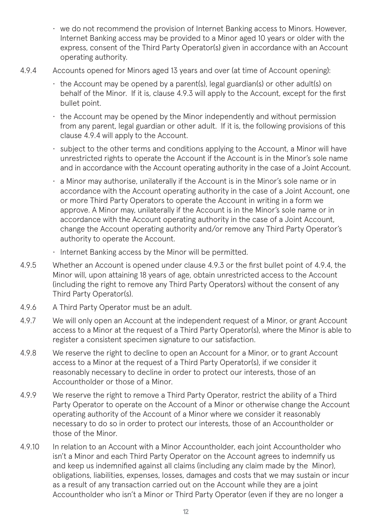- we do not recommend the provision of Internet Banking access to Minors. However, Internet Banking access may be provided to a Minor aged 10 years or older with the express, consent of the Third Party Operator(s) given in accordance with an Account operating authority.
- 4.9.4 Accounts opened for Minors aged 13 years and over (at time of Account opening):
	- the Account may be opened by a parent(s), legal guardian(s) or other adult(s) on behalf of the Minor. If it is, clause 4.9.3 will apply to the Account, except for the first bullet point.
	- the Account may be opened by the Minor independently and without permission from any parent, legal guardian or other adult. If it is, the following provisions of this clause 4.9.4 will apply to the Account.
	- subject to the other terms and conditions applying to the Account, a Minor will have unrestricted rights to operate the Account if the Account is in the Minor's sole name and in accordance with the Account operating authority in the case of a Joint Account.
	- a Minor may authorise, unilaterally if the Account is in the Minor's sole name or in accordance with the Account operating authority in the case of a Joint Account, one or more Third Party Operators to operate the Account in writing in a form we approve. A Minor may, unilaterally if the Account is in the Minor's sole name or in accordance with the Account operating authority in the case of a Joint Account, change the Account operating authority and/or remove any Third Party Operator's authority to operate the Account.
	- Internet Banking access by the Minor will be permitted.
- 4.9.5 Whether an Account is opened under clause 4.9.3 or the first bullet point of 4.9.4, the Minor will, upon attaining 18 years of age, obtain unrestricted access to the Account (including the right to remove any Third Party Operators) without the consent of any Third Party Operator(s).
- 4.9.6 A Third Party Operator must be an adult.
- 4.9.7 We will only open an Account at the independent request of a Minor, or grant Account access to a Minor at the request of a Third Party Operator(s), where the Minor is able to register a consistent specimen signature to our satisfaction.
- 4.9.8 We reserve the right to decline to open an Account for a Minor, or to grant Account access to a Minor at the request of a Third Party Operator(s), if we consider it reasonably necessary to decline in order to protect our interests, those of an Accountholder or those of a Minor.
- 4.9.9 We reserve the right to remove a Third Party Operator, restrict the ability of a Third Party Operator to operate on the Account of a Minor or otherwise change the Account operating authority of the Account of a Minor where we consider it reasonably necessary to do so in order to protect our interests, those of an Accountholder or those of the Minor.
- 4.9.10 In relation to an Account with a Minor Accountholder, each joint Accountholder who isn't a Minor and each Third Party Operator on the Account agrees to indemnify us and keep us indemnified against all claims (including any claim made by the Minor), obligations, liabilities, expenses, losses, damages and costs that we may sustain or incur as a result of any transaction carried out on the Account while they are a joint Accountholder who isn't a Minor or Third Party Operator (even if they are no longer a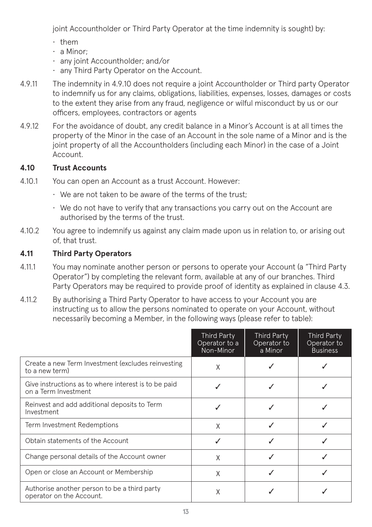joint Accountholder or Third Party Operator at the time indemnity is sought) by:

- them
- a Minor;
- any joint Accountholder; and/or
- any Third Party Operator on the Account.
- 4.9.11 The indemnity in 4.9.10 does not require a joint Accountholder or Third party Operator to indemnify us for any claims, obligations, liabilities, expenses, losses, damages or costs to the extent they arise from any fraud, negligence or wilful misconduct by us or our officers, employees, contractors or agents
- 4.9.12 For the avoidance of doubt, any credit balance in a Minor's Account is at all times the property of the Minor in the case of an Account in the sole name of a Minor and is the joint property of all the Accountholders (including each Minor) in the case of a Joint Account.

#### **4.10 Trust Accounts**

- 4.10.1 You can open an Account as a trust Account. However:
	- We are not taken to be aware of the terms of the trust;
	- We do not have to verify that any transactions you carry out on the Account are authorised by the terms of the trust.
- 4.10.2 You agree to indemnify us against any claim made upon us in relation to, or arising out of, that trust.

### **4.11 Third Party Operators**

- 4.11.1 You may nominate another person or persons to operate your Account (a "Third Party Operator") by completing the relevant form, available at any of our branches. Third Party Operators may be required to provide proof of identity as explained in clause 4.3.
- 4.11.2 By authorising a Third Party Operator to have access to your Account you are instructing us to allow the persons nominated to operate on your Account, without necessarily becoming a Member, in the following ways (please refer to table):

|                                                                              | Third Party<br>Operator to a<br>Non-Minor | <b>Third Party</b><br>Operator to<br>a Minor | <b>Third Party</b><br>Operator to<br><b>Business</b> |
|------------------------------------------------------------------------------|-------------------------------------------|----------------------------------------------|------------------------------------------------------|
| Create a new Term Investment (excludes reinvesting<br>to a new term)         | X                                         |                                              |                                                      |
| Give instructions as to where interest is to be paid<br>on a Term Investment |                                           |                                              |                                                      |
| Reinvest and add additional deposits to Term<br>Investment                   |                                           |                                              |                                                      |
| Term Investment Redemptions                                                  | X                                         |                                              |                                                      |
| Obtain statements of the Account                                             | ℐ                                         |                                              |                                                      |
| Change personal details of the Account owner                                 | X                                         |                                              |                                                      |
| Open or close an Account or Membership                                       | X                                         |                                              |                                                      |
| Authorise another person to be a third party<br>operator on the Account.     | X                                         |                                              |                                                      |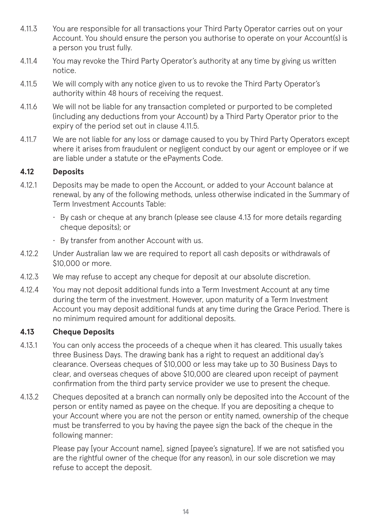- 4.11.3 You are responsible for all transactions your Third Party Operator carries out on your Account. You should ensure the person you authorise to operate on your Account(s) is a person you trust fully.
- 4.11.4 You may revoke the Third Party Operator's authority at any time by giving us written notice.
- 4.11.5 We will comply with any notice given to us to revoke the Third Party Operator's authority within 48 hours of receiving the request.
- 4.11.6 We will not be liable for any transaction completed or purported to be completed (including any deductions from your Account) by a Third Party Operator prior to the expiry of the period set out in clause 4.11.5.
- 4.11.7 We are not liable for any loss or damage caused to you by Third Party Operators except where it arises from fraudulent or negligent conduct by our agent or employee or if we are liable under a statute or the ePayments Code.

#### **4.12 Deposits**

- 4.12.1 Deposits may be made to open the Account, or added to your Account balance at renewal, by any of the following methods, unless otherwise indicated in the Summary of Term Investment Accounts Table:
	- By cash or cheque at any branch (please see clause 4.13 for more details regarding cheque deposits); or
	- By transfer from another Account with us.
- 4.12.2 Under Australian law we are required to report all cash deposits or withdrawals of \$10,000 or more.
- 4.12.3 We may refuse to accept any cheque for deposit at our absolute discretion.
- 4.12.4 You may not deposit additional funds into a Term Investment Account at any time during the term of the investment. However, upon maturity of a Term Investment Account you may deposit additional funds at any time during the Grace Period. There is no minimum required amount for additional deposits.

#### **4.13 Cheque Deposits**

- 4.13.1 You can only access the proceeds of a cheque when it has cleared. This usually takes three Business Days. The drawing bank has a right to request an additional day's clearance. Overseas cheques of \$10,000 or less may take up to 30 Business Days to clear, and overseas cheques of above \$10,000 are cleared upon receipt of payment confirmation from the third party service provider we use to present the cheque.
- 4.13.2 Cheques deposited at a branch can normally only be deposited into the Account of the person or entity named as payee on the cheque. If you are depositing a cheque to your Account where you are not the person or entity named, ownership of the cheque must be transferred to you by having the payee sign the back of the cheque in the following manner:

Please pay [your Account name], signed [payee's signature]. If we are not satisfied you are the rightful owner of the cheque (for any reason), in our sole discretion we may refuse to accept the deposit.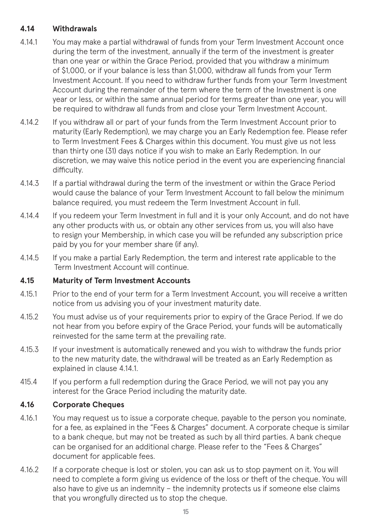#### **4.14 Withdrawals**

- 4.14.1 You may make a partial withdrawal of funds from your Term Investment Account once during the term of the investment, annually if the term of the investment is greater than one year or within the Grace Period, provided that you withdraw a minimum of \$1,000, or if your balance is less than \$1,000, withdraw all funds from your Term Investment Account. If you need to withdraw further funds from your Term Investment Account during the remainder of the term where the term of the Investment is one year or less, or within the same annual period for terms greater than one year, you will be required to withdraw all funds from and close your Term Investment Account.
- 4.14.2 If you withdraw all or part of your funds from the Term Investment Account prior to maturity (Early Redemption), we may charge you an Early Redemption fee. Please refer to Term Investment Fees & Charges within this document. You must give us not less than thirty one (31) days notice if you wish to make an Early Redemption. In our discretion, we may waive this notice period in the event you are experiencing financial difficulty.
- 4.14.3 If a partial withdrawal during the term of the investment or within the Grace Period would cause the balance of your Term Investment Account to fall below the minimum balance required, you must redeem the Term Investment Account in full.
- 4.14.4 If you redeem your Term Investment in full and it is your only Account, and do not have any other products with us, or obtain any other services from us, you will also have to resign your Membership, in which case you will be refunded any subscription price paid by you for your member share (if any).
- 4.14.5 If you make a partial Early Redemption, the term and interest rate applicable to the Term Investment Account will continue.

#### **4.15 Maturity of Term Investment Accounts**

- 4.15.1 Prior to the end of your term for a Term Investment Account, you will receive a written notice from us advising you of your investment maturity date.
- 4.15.2 You must advise us of your requirements prior to expiry of the Grace Period. If we do not hear from you before expiry of the Grace Period, your funds will be automatically reinvested for the same term at the prevailing rate.
- 4.15.3 If your investment is automatically renewed and you wish to withdraw the funds prior to the new maturity date, the withdrawal will be treated as an Early Redemption as explained in clause 4.14.1.
- 415.4 If you perform a full redemption during the Grace Period, we will not pay you any interest for the Grace Period including the maturity date.

#### **4.16 Corporate Cheques**

- 4.16.1 You may request us to issue a corporate cheque, payable to the person you nominate, for a fee, as explained in the "Fees & Charges" document. A corporate cheque is similar to a bank cheque, but may not be treated as such by all third parties. A bank cheque can be organised for an additional charge. Please refer to the "Fees & Charges" document for applicable fees.
- 4.16.2 If a corporate cheque is lost or stolen, you can ask us to stop payment on it. You will need to complete a form giving us evidence of the loss or theft of the cheque. You will also have to give us an indemnity – the indemnity protects us if someone else claims that you wrongfully directed us to stop the cheque.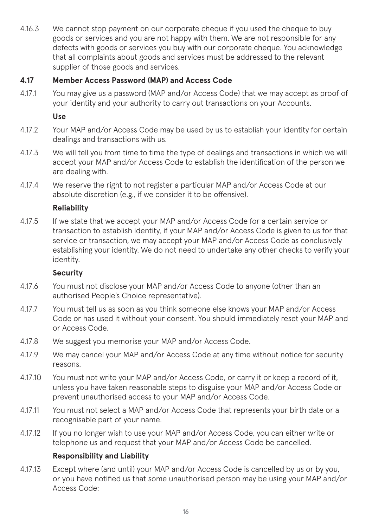4.16.3 We cannot stop payment on our corporate cheque if you used the cheque to buy goods or services and you are not happy with them. We are not responsible for any defects with goods or services you buy with our corporate cheque. You acknowledge that all complaints about goods and services must be addressed to the relevant supplier of those goods and services.

#### **4.17 Member Access Password (MAP) and Access Code**

4.17.1 You may give us a password (MAP and/or Access Code) that we may accept as proof of your identity and your authority to carry out transactions on your Accounts.

#### **Use**

- 4.17.2 Your MAP and/or Access Code may be used by us to establish your identity for certain dealings and transactions with us.
- 4.17.3 We will tell you from time to time the type of dealings and transactions in which we will accept your MAP and/or Access Code to establish the identification of the person we are dealing with.
- 4.17.4 We reserve the right to not register a particular MAP and/or Access Code at our absolute discretion (e.g., if we consider it to be offensive).

#### **Reliability**

4.17.5 If we state that we accept your MAP and/or Access Code for a certain service or transaction to establish identity, if your MAP and/or Access Code is given to us for that service or transaction, we may accept your MAP and/or Access Code as conclusively establishing your identity. We do not need to undertake any other checks to verify your identity.

#### **Security**

- 4.17.6 You must not disclose your MAP and/or Access Code to anyone (other than an authorised People's Choice representative).
- 4.17.7 You must tell us as soon as you think someone else knows your MAP and/or Access Code or has used it without your consent. You should immediately reset your MAP and or Access Code.
- 4.17.8 We suggest you memorise your MAP and/or Access Code.
- 4.17.9 We may cancel your MAP and/or Access Code at any time without notice for security reasons.
- 4.17.10 You must not write your MAP and/or Access Code, or carry it or keep a record of it, unless you have taken reasonable steps to disguise your MAP and/or Access Code or prevent unauthorised access to your MAP and/or Access Code.
- 4.17.11 You must not select a MAP and/or Access Code that represents your birth date or a recognisable part of your name.
- 4.17.12 If you no longer wish to use your MAP and/or Access Code, you can either write or telephone us and request that your MAP and/or Access Code be cancelled.

#### **Responsibility and Liability**

4.17.13 Except where (and until) your MAP and/or Access Code is cancelled by us or by you, or you have notified us that some unauthorised person may be using your MAP and/or Access Code: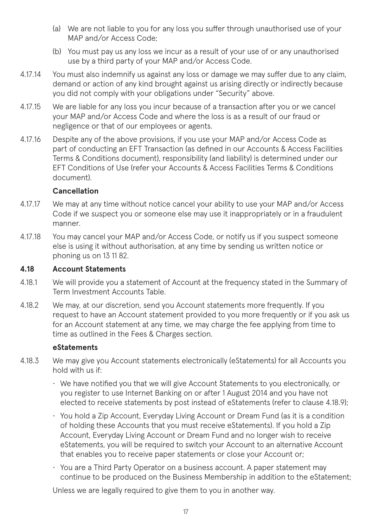- (a) We are not liable to you for any loss you suffer through unauthorised use of your MAP and/or Access Code;
- (b) You must pay us any loss we incur as a result of your use of or any unauthorised use by a third party of your MAP and/or Access Code.
- 4.17.14 You must also indemnify us against any loss or damage we may suffer due to any claim, demand or action of any kind brought against us arising directly or indirectly because you did not comply with your obligations under "Security" above.
- 4.17.15 We are liable for any loss you incur because of a transaction after you or we cancel your MAP and/or Access Code and where the loss is as a result of our fraud or negligence or that of our employees or agents.
- 4.17.16 Despite any of the above provisions, if you use your MAP and/or Access Code as part of conducting an EFT Transaction (as defined in our Accounts & Access Facilities Terms & Conditions document), responsibility (and liability) is determined under our EFT Conditions of Use (refer your Accounts & Access Facilities Terms & Conditions document).

#### **Cancellation**

- 4.17.17 We may at any time without notice cancel your ability to use your MAP and/or Access Code if we suspect you or someone else may use it inappropriately or in a fraudulent manner.
- 4.17.18 You may cancel your MAP and/or Access Code, or notify us if you suspect someone else is using it without authorisation, at any time by sending us written notice or phoning us on 13 11 82.

#### **4.18 Account Statements**

- 4.18.1 We will provide you a statement of Account at the frequency stated in the Summary of Term Investment Accounts Table.
- 4.18.2 We may, at our discretion, send you Account statements more frequently. If you request to have an Account statement provided to you more frequently or if you ask us for an Account statement at any time, we may charge the fee applying from time to time as outlined in the Fees & Charges section.

#### **eStatements**

- 4.18.3 We may give you Account statements electronically (eStatements) for all Accounts you hold with us if:
	- We have notified you that we will give Account Statements to you electronically, or you register to use Internet Banking on or after 1 August 2014 and you have not elected to receive statements by post instead of eStatements (refer to clause 4.18.9);
	- You hold a Zip Account, Everyday Living Account or Dream Fund (as it is a condition of holding these Accounts that you must receive eStatements). If you hold a Zip Account, Everyday Living Account or Dream Fund and no longer wish to receive eStatements, you will be required to switch your Account to an alternative Account that enables you to receive paper statements or close your Account or;
	- You are a Third Party Operator on a business account. A paper statement may continue to be produced on the Business Membership in addition to the eStatement;

Unless we are legally required to give them to you in another way.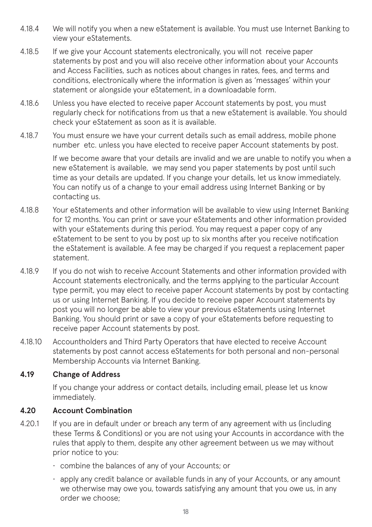- 4.18.4 We will notify you when a new eStatement is available. You must use Internet Banking to view your eStatements.
- 4.18.5 If we give your Account statements electronically, you will not receive paper statements by post and you will also receive other information about your Accounts and Access Facilities, such as notices about changes in rates, fees, and terms and conditions, electronically where the information is given as 'messages' within your statement or alongside your eStatement, in a downloadable form.
- 4.18.6 Unless you have elected to receive paper Account statements by post, you must regularly check for notifications from us that a new eStatement is available. You should check your eStatement as soon as it is available.
- 4.18.7 You must ensure we have your current details such as email address, mobile phone number etc. unless you have elected to receive paper Account statements by post.

If we become aware that your details are invalid and we are unable to notify you when a new eStatement is available, we may send you paper statements by post until such time as your details are updated. If you change your details, let us know immediately. You can notify us of a change to your email address using Internet Banking or by contacting us.

- 4.18.8 Your eStatements and other information will be available to view using Internet Banking for 12 months. You can print or save your eStatements and other information provided with your eStatements during this period. You may request a paper copy of any eStatement to be sent to you by post up to six months after you receive notification the eStatement is available. A fee may be charged if you request a replacement paper statement.
- 4.18.9 If you do not wish to receive Account Statements and other information provided with Account statements electronically, and the terms applying to the particular Account type permit, you may elect to receive paper Account statements by post by contacting us or using Internet Banking. If you decide to receive paper Account statements by post you will no longer be able to view your previous eStatements using Internet Banking. You should print or save a copy of your eStatements before requesting to receive paper Account statements by post.
- 4.18.10 Accountholders and Third Party Operators that have elected to receive Account statements by post cannot access eStatements for both personal and non-personal Membership Accounts via Internet Banking.

#### **4.19 Change of Address**

If you change your address or contact details, including email, please let us know immediately.

#### **4.20 Account Combination**

- 4.20.1 If you are in default under or breach any term of any agreement with us (including these Terms & Conditions) or you are not using your Accounts in accordance with the rules that apply to them, despite any other agreement between us we may without prior notice to you:
	- combine the balances of any of your Accounts; or
	- apply any credit balance or available funds in any of your Accounts, or any amount we otherwise may owe you, towards satisfying any amount that you owe us, in any order we choose;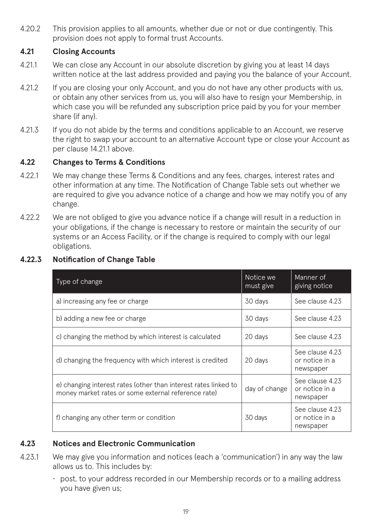4.20.2 This provision applies to all amounts, whether due or not or due contingently. This provision does not apply to formal trust Accounts.

#### **4.21 Closing Accounts**

- 4.21.1 We can close any Account in our absolute discretion by giving you at least 14 days written notice at the last address provided and paying you the balance of your Account.
- 4.21.2 If you are closing your only Account, and you do not have any other products with us, or obtain any other services from us, you will also have to resign your Membership, in which case you will be refunded any subscription price paid by you for your member share (if any).
- 4.21.3 If you do not abide by the terms and conditions applicable to an Account, we reserve the right to swap your account to an alternative Account type or close your Account as per clause 14.21.1 above.

#### **4.22 Changes to Terms & Conditions**

- 4.22.1 We may change these Terms & Conditions and any fees, charges, interest rates and other information at any time. The Notification of Change Table sets out whether we are required to give you advance notice of a change and how we may notify you of any change.
- 4.22.2 We are not obliged to give you advance notice if a change will result in a reduction in your obligations, if the change is necessary to restore or maintain the security of our systems or an Access Facility, or if the change is required to comply with our legal obligations.

| Type of change                                                                                                         | Notice we<br>must give | Manner of<br>giving notice                     |
|------------------------------------------------------------------------------------------------------------------------|------------------------|------------------------------------------------|
| a) increasing any fee or charge                                                                                        | 30 days                | See clause 4.23                                |
| b) adding a new fee or charge                                                                                          | 30 days                | See clause 4.23                                |
| c) changing the method by which interest is calculated                                                                 | 20 days                | See clause 4.23                                |
| d) changing the frequency with which interest is credited                                                              | 20 days                | See clause 4.23<br>or notice in a<br>newspaper |
| e) changing interest rates (other than interest rates linked to<br>money market rates or some external reference rate) | day of change          | See clause 4.23<br>or notice in a<br>newspaper |
| f) changing any other term or condition                                                                                | 30 days                | See clause 4.23<br>or notice in a<br>newspaper |

#### **4.22.3 Notification of Change Table**

#### **4.23 Notices and Electronic Communication**

- 4.23.1 We may give you information and notices (each a 'communication') in any way the law allows us to. This includes by:
	- post, to your address recorded in our Membership records or to a mailing address you have given us;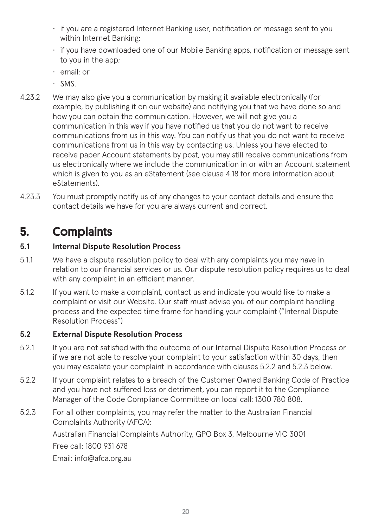- if you are a registered Internet Banking user, notification or message sent to you within Internet Banking;
- if you have downloaded one of our Mobile Banking apps, notification or message sent to you in the app;
- email; or
- SMS.
- 4.23.2 We may also give you a communication by making it available electronically (for example, by publishing it on our website) and notifying you that we have done so and how you can obtain the communication. However, we will not give you a communication in this way if you have notified us that you do not want to receive communications from us in this way. You can notify us that you do not want to receive communications from us in this way by contacting us. Unless you have elected to receive paper Account statements by post, you may still receive communications from us electronically where we include the communication in or with an Account statement which is given to you as an eStatement (see clause 4.18 for more information about eStatements).
- 4.23.3 You must promptly notify us of any changes to your contact details and ensure the contact details we have for you are always current and correct.

# 5. Complaints

#### **5.1 Internal Dispute Resolution Process**

- 5.1.1 We have a dispute resolution policy to deal with any complaints you may have in relation to our financial services or us. Our dispute resolution policy requires us to deal with any complaint in an efficient manner.
- 5.1.2 If you want to make a complaint, contact us and indicate you would like to make a complaint or visit our Website. Our staff must advise you of our complaint handling process and the expected time frame for handling your complaint ("Internal Dispute Resolution Process")

### **5.2 External Dispute Resolution Process**

- 5.2.1 If you are not satisfied with the outcome of our Internal Dispute Resolution Process or if we are not able to resolve your complaint to your satisfaction within 30 days, then you may escalate your complaint in accordance with clauses 5.2.2 and 5.2.3 below.
- 5.2.2 If your complaint relates to a breach of the Customer Owned Banking Code of Practice and you have not suffered loss or detriment, you can report it to the Compliance Manager of the Code Compliance Committee on local call: 1300 780 808.
- 5.2.3 For all other complaints, you may refer the matter to the Australian Financial Complaints Authority (AFCA):

Australian Financial Complaints Authority, GPO Box 3, Melbourne VIC 3001 Free call: 1800 931 678

Email: info@afca.org.au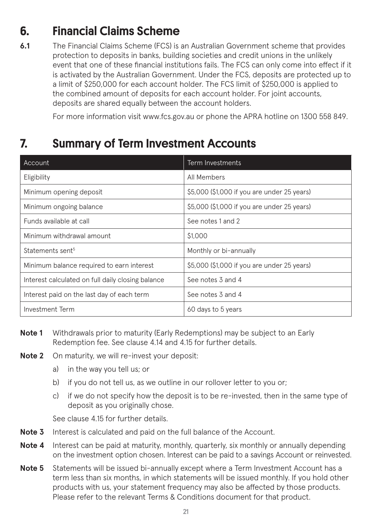# 6. Financial Claims Scheme

**6.1** The Financial Claims Scheme (FCS) is an Australian Government scheme that provides protection to deposits in banks, building societies and credit unions in the unlikely event that one of these financial institutions fails. The FCS can only come into effect if it is activated by the Australian Government. Under the FCS, deposits are protected up to a limit of \$250,000 for each account holder. The FCS limit of \$250,000 is applied to the combined amount of deposits for each account holder. For joint accounts, deposits are shared equally between the account holders.

For more information visit www.fcs.gov.au or phone the APRA hotline on 1300 558 849.

# 7. Summary of Term Investment Accounts

| Account                                           | Term Investments                            |
|---------------------------------------------------|---------------------------------------------|
| Eligibility                                       | All Members                                 |
| Minimum opening deposit                           | \$5,000 (\$1,000 if you are under 25 years) |
| Minimum ongoing balance                           | \$5,000 (\$1,000 if you are under 25 years) |
| Funds available at call                           | See notes 1 and 2                           |
| Minimum withdrawal amount                         | \$1,000                                     |
| Statements sent <sup>5</sup>                      | Monthly or bi-annually                      |
| Minimum balance required to earn interest         | \$5,000 (\$1,000 if you are under 25 years) |
| Interest calculated on full daily closing balance | See notes 3 and 4                           |
| Interest paid on the last day of each term        | See notes 3 and 4                           |
| Investment Term                                   | 60 days to 5 years                          |

- **Note 1** Withdrawals prior to maturity (Early Redemptions) may be subject to an Early Redemption fee. See clause 4.14 and 4.15 for further details.
- **Note 2** On maturity, we will re-invest your deposit:
	- a) in the way you tell us; or
	- b) if you do not tell us, as we outline in our rollover letter to you or;
	- c) if we do not specify how the deposit is to be re-invested, then in the same type of deposit as you originally chose.

See clause 4.15 for further details.

- **Note 3** Interest is calculated and paid on the full balance of the Account.
- **Note 4** Interest can be paid at maturity, monthly, quarterly, six monthly or annually depending on the investment option chosen. Interest can be paid to a savings Account or reinvested.
- **Note 5** Statements will be issued bi-annually except where a Term Investment Account has a term less than six months, in which statements will be issued monthly. If you hold other products with us, your statement frequency may also be affected by those products. Please refer to the relevant Terms & Conditions document for that product.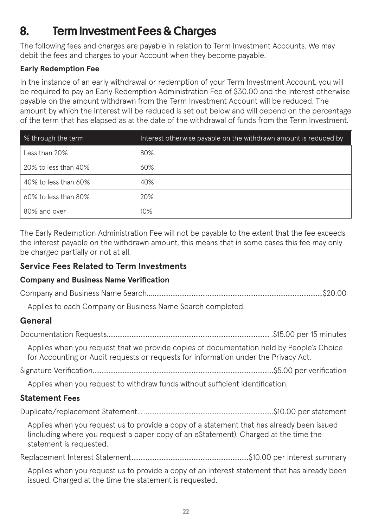# 8. Term Investment Fees & Charges

The following fees and charges are payable in relation to Term Investment Accounts. We may debit the fees and charges to your Account when they become payable.

### **Early Redemption Fee**

In the instance of an early withdrawal or redemption of your Term Investment Account, you will be required to pay an Early Redemption Administration Fee of \$30.00 and the interest otherwise payable on the amount withdrawn from the Term Investment Account will be reduced. The amount by which the interest will be reduced is set out below and will depend on the percentage of the term that has elapsed as at the date of the withdrawal of funds from the Term Investment.

| % through the term         | Interest otherwise payable on the withdrawn amount is reduced by |  |
|----------------------------|------------------------------------------------------------------|--|
| Less than 20%              | 80%                                                              |  |
| $20\%$ to less than $40\%$ | 60%                                                              |  |
| 40% to less than 60%       | 40%                                                              |  |
| $60\%$ to less than 80%    | 20%                                                              |  |
| 80% and over               | 10%                                                              |  |

The Early Redemption Administration Fee will not be payable to the extent that the fee exceeds the interest payable on the withdrawn amount, this means that in some cases this fee may only be charged partially or not at all.

### **Service Fees Related to Term Investments**

### **Company and Business Name Verification**

Applies to each Company or Business Name Search completed.

### **General**

Documentation Requests............................................................................................ .\$15.00 per 15 minutes Applies when you request that we provide copies of documentation held by People's Choice for Accounting or Audit requests or requests for information under the Privacy Act. Signature Verification…................................................................................................…\$5.00 per verification

Applies when you request to withdraw funds without sufficient identification.

### **Statement Fees**

Duplicate/replacement Statement….........................................................................\$10.00 per statement

Applies when you request us to provide a copy of a statement that has already been issued (including where you request a paper copy of an eStatement). Charged at the time the statement is requested.

Replacement Interest Statement..................................................................\$10.00 per interest summary

Applies when you request us to provide a copy of an interest statement that has already been issued. Charged at the time the statement is requested.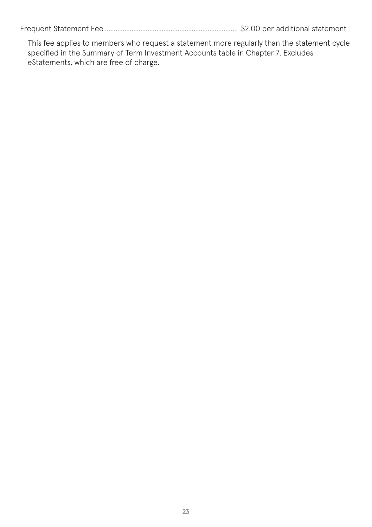Frequent Statement Fee ........................................................................... .\$2.00 per additional statement

This fee applies to members who request a statement more regularly than the statement cycle specified in the Summary of Term Investment Accounts table in Chapter 7. Excludes eStatements, which are free of charge.